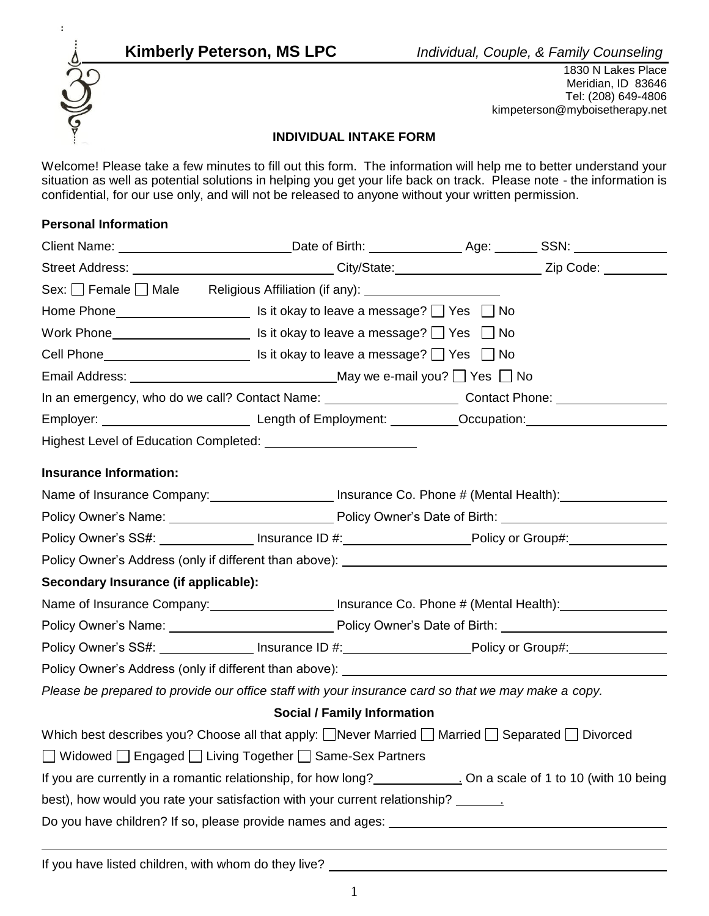

 1830 N Lakes Place Meridian, ID 83646 Tel: (208) 649-4806 kimpeterson@myboisetherapy.net

## **INDIVIDUAL INTAKE FORM**

Welcome! Please take a few minutes to fill out this form. The information will help me to better understand your situation as well as potential solutions in helping you get your life back on track. Please note - the information is confidential, for our use only, and will not be released to anyone without your written permission.

# **Personal Information**

|                                      | Client Name: <u>__________________________________Date of Birth: ______________</u> Age: ________SSN: _______________  |  |  |
|--------------------------------------|------------------------------------------------------------------------------------------------------------------------|--|--|
|                                      | Street Address: ________________________________City/State:_____________________Zip Code: __________                   |  |  |
|                                      | Sex: Female Male Religious Affiliation (if any): _______________________________                                       |  |  |
|                                      |                                                                                                                        |  |  |
|                                      | Work Phone $\Box$ Is it okay to leave a message? $\Box$ Yes $\Box$ No                                                  |  |  |
|                                      |                                                                                                                        |  |  |
|                                      |                                                                                                                        |  |  |
|                                      | In an emergency, who do we call? Contact Name: Contact Numeral Contact Phone: Contact Phone:                           |  |  |
|                                      |                                                                                                                        |  |  |
|                                      |                                                                                                                        |  |  |
| <b>Insurance Information:</b>        |                                                                                                                        |  |  |
|                                      | Name of Insurance Company: Insurance Co. Phone # (Mental Health):                                                      |  |  |
|                                      |                                                                                                                        |  |  |
|                                      | Policy Owner's SS#: _________________ Insurance ID #: _________________________Policy or Group#:                       |  |  |
|                                      | Policy Owner's Address (only if different than above): __________________________                                      |  |  |
| Secondary Insurance (if applicable): |                                                                                                                        |  |  |
|                                      | Name of Insurance Company: _______________________ Insurance Co. Phone # (Mental Health): ________________             |  |  |
|                                      |                                                                                                                        |  |  |
|                                      | Policy Owner's SS#: ______________________ Insurance ID #: __________________________Policy or Group#:                 |  |  |
|                                      |                                                                                                                        |  |  |
|                                      | Please be prepared to provide our office staff with your insurance card so that we may make a copy.                    |  |  |
|                                      | <b>Social / Family Information</b>                                                                                     |  |  |
|                                      | Which best describes you? Choose all that apply: $\Box$ Never Married $\Box$ Married $\Box$ Separated $\Box$ Divorced  |  |  |
|                                      | □ Widowed □ Engaged □ Living Together □ Same-Sex Partners                                                              |  |  |
|                                      | If you are currently in a romantic relationship, for how long?<br>Nota the second on a scale of 1 to 10 (with 10 being |  |  |
|                                      | best), how would you rate your satisfaction with your current relationship? ________                                   |  |  |
|                                      |                                                                                                                        |  |  |
|                                      |                                                                                                                        |  |  |

If you have listed children, with whom do they live?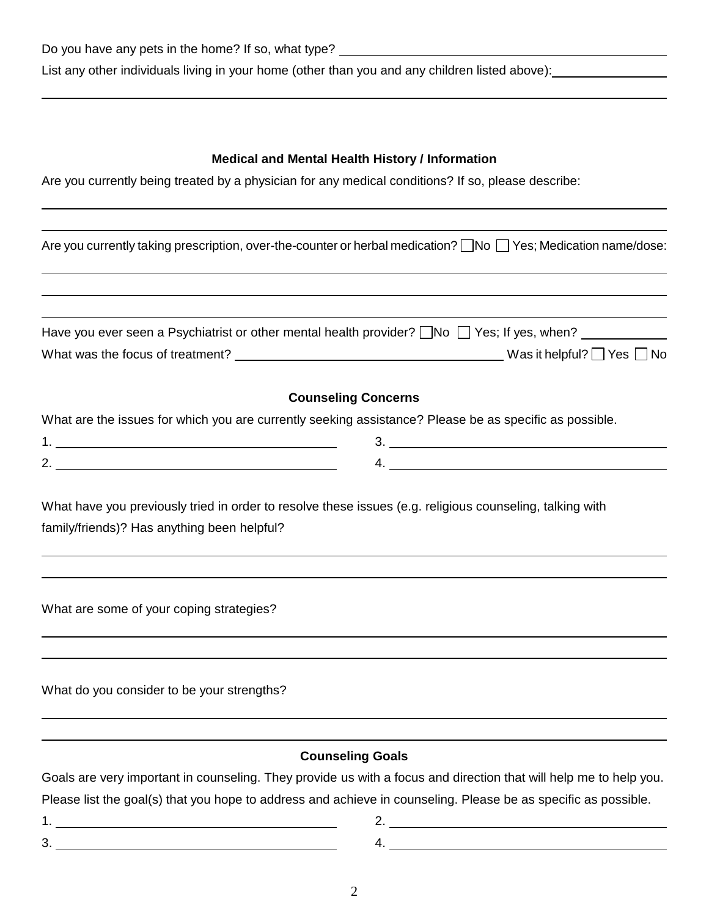## **Medical and Mental Health History / Information**

Are you currently being treated by a physician for any medical conditions? If so, please describe:

|                                                                                                        | Are you currently taking prescription, over-the-counter or herbal medication? No Yes; Medication name/dose:       |
|--------------------------------------------------------------------------------------------------------|-------------------------------------------------------------------------------------------------------------------|
|                                                                                                        |                                                                                                                   |
|                                                                                                        | Have you ever seen a Psychiatrist or other mental health provider? No Ses; If yes, when?                          |
|                                                                                                        | What was the focus of treatment? $\_\_\_\_\_\_\_\_$ Mo                                                            |
|                                                                                                        | <b>Counseling Concerns</b>                                                                                        |
| What are the issues for which you are currently seeking assistance? Please be as specific as possible. |                                                                                                                   |
|                                                                                                        |                                                                                                                   |
| 2.                                                                                                     |                                                                                                                   |
| family/friends)? Has anything been helpful?                                                            |                                                                                                                   |
| What are some of your coping strategies?                                                               |                                                                                                                   |
| What do you consider to be your strengths?                                                             |                                                                                                                   |
|                                                                                                        | <b>Counseling Goals</b>                                                                                           |
|                                                                                                        | Goals are very important in counseling. They provide us with a focus and direction that will help me to help you. |
|                                                                                                        | Please list the goal(s) that you hope to address and achieve in counseling. Please be as specific as possible.    |
|                                                                                                        | $2.$ $\overline{\phantom{a}}$                                                                                     |
|                                                                                                        | 4.                                                                                                                |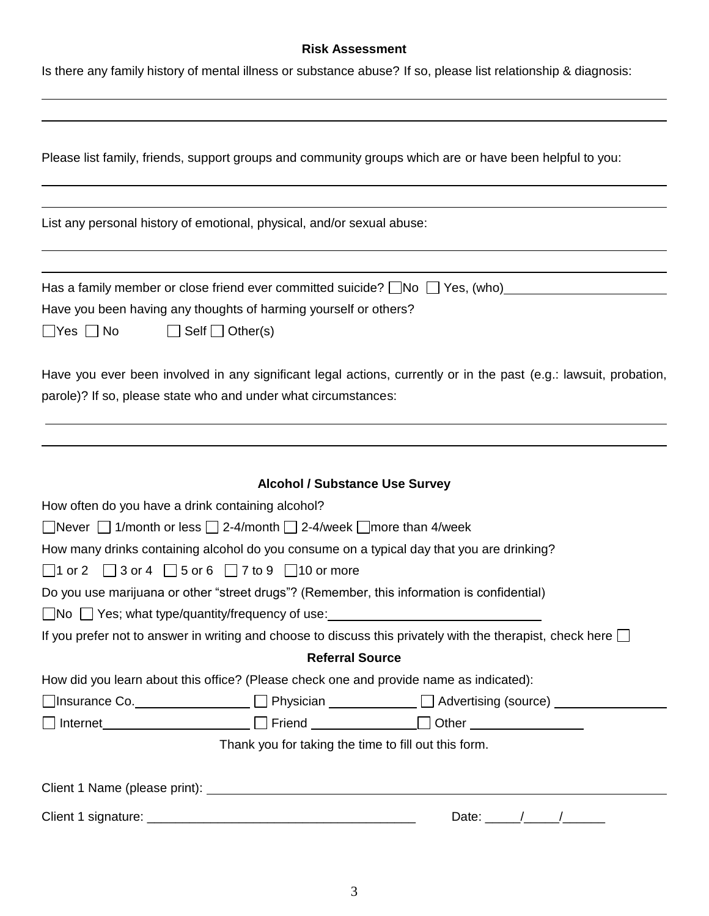# **Risk Assessment**

Is there any family history of mental illness or substance abuse? If so, please list relationship & diagnosis:

| Please list family, friends, support groups and community groups which are or have been helpful to you:           |  |  |  |  |
|-------------------------------------------------------------------------------------------------------------------|--|--|--|--|
|                                                                                                                   |  |  |  |  |
| List any personal history of emotional, physical, and/or sexual abuse:                                            |  |  |  |  |
| Has a family member or close friend ever committed suicide? $\Box$ No $\Box$ Yes, (who)                           |  |  |  |  |
| Have you been having any thoughts of harming yourself or others?                                                  |  |  |  |  |
| $\Box$ Self $\Box$ Other(s)<br>$\Box$ Yes $\Box$ No                                                               |  |  |  |  |
| Have you ever been involved in any significant legal actions, currently or in the past (e.g.: lawsuit, probation, |  |  |  |  |
| parole)? If so, please state who and under what circumstances:                                                    |  |  |  |  |
|                                                                                                                   |  |  |  |  |
|                                                                                                                   |  |  |  |  |
| <b>Alcohol / Substance Use Survey</b>                                                                             |  |  |  |  |
| How often do you have a drink containing alcohol?                                                                 |  |  |  |  |
| $\Box$ Never $\Box$ 1/month or less $\Box$ 2-4/month $\Box$ 2-4/week $\Box$ more than 4/week                      |  |  |  |  |
| How many drinks containing alcohol do you consume on a typical day that you are drinking?                         |  |  |  |  |
| $\Box$ 1 or 2 $\Box$ 3 or 4 $\Box$ 5 or 6 $\Box$ 7 to 9 $\Box$ 10 or more                                         |  |  |  |  |
| Do you use marijuana or other "street drugs"? (Remember, this information is confidential)                        |  |  |  |  |
| $\Box$ No $\Box$ Yes; what type/quantity/frequency of use:                                                        |  |  |  |  |
| If you prefer not to answer in writing and choose to discuss this privately with the therapist, check here $\Box$ |  |  |  |  |
| <b>Referral Source</b>                                                                                            |  |  |  |  |
| How did you learn about this office? (Please check one and provide name as indicated):                            |  |  |  |  |
|                                                                                                                   |  |  |  |  |
|                                                                                                                   |  |  |  |  |
| Thank you for taking the time to fill out this form.                                                              |  |  |  |  |
|                                                                                                                   |  |  |  |  |
| Date: $\frac{1}{\sqrt{2\pi}}$                                                                                     |  |  |  |  |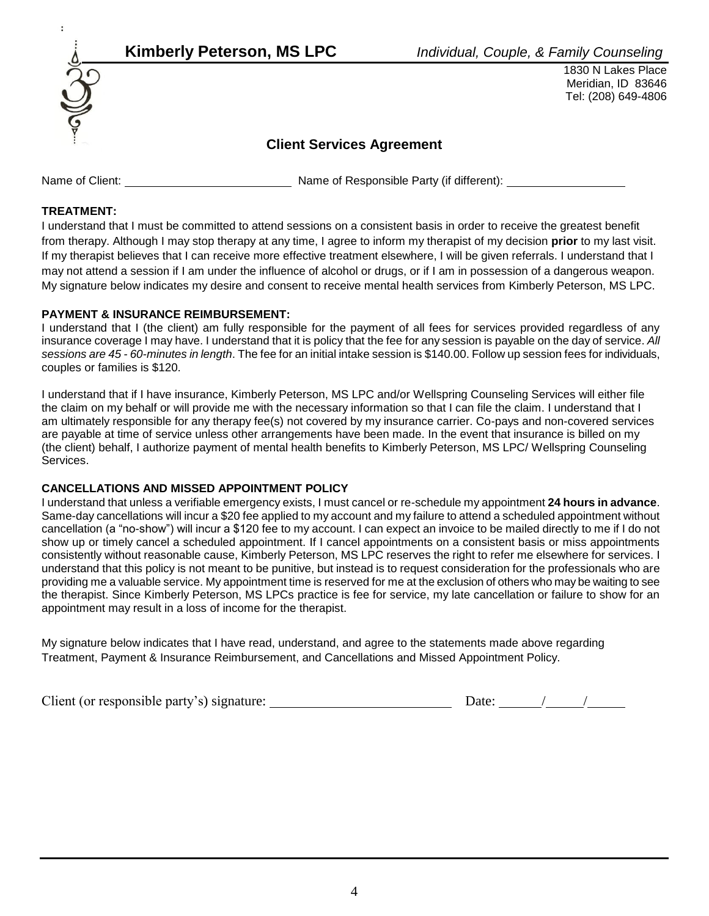





 1830 N Lakes Place Meridian, ID 83646 Tel: (208) 649-4806

# **Client Services Agreement**

Name of Client: Name of Responsible Party (if different):

### **TREATMENT:**

I understand that I must be committed to attend sessions on a consistent basis in order to receive the greatest benefit from therapy. Although I may stop therapy at any time, I agree to inform my therapist of my decision **prior** to my last visit. If my therapist believes that I can receive more effective treatment elsewhere, I will be given referrals. I understand that I may not attend a session if I am under the influence of alcohol or drugs, or if I am in possession of a dangerous weapon. My signature below indicates my desire and consent to receive mental health services from Kimberly Peterson, MS LPC.

### **PAYMENT & INSURANCE REIMBURSEMENT:**

I understand that I (the client) am fully responsible for the payment of all fees for services provided regardless of any insurance coverage I may have. I understand that it is policy that the fee for any session is payable on the day of service. *All sessions are 45 - 60-minutes in length*. The fee for an initial intake session is \$140.00. Follow up session fees for individuals, couples or families is \$120.

I understand that if I have insurance, Kimberly Peterson, MS LPC and/or Wellspring Counseling Services will either file the claim on my behalf or will provide me with the necessary information so that I can file the claim. I understand that I am ultimately responsible for any therapy fee(s) not covered by my insurance carrier. Co-pays and non-covered services are payable at time of service unless other arrangements have been made. In the event that insurance is billed on my (the client) behalf, I authorize payment of mental health benefits to Kimberly Peterson, MS LPC/ Wellspring Counseling Services.

### **CANCELLATIONS AND MISSED APPOINTMENT POLICY**

I understand that unless a verifiable emergency exists, I must cancel or re-schedule my appointment **24 hours in advance**. Same-day cancellations will incur a \$20 fee applied to my account and my failure to attend a scheduled appointment without cancellation (a "no-show") will incur a \$120 fee to my account. I can expect an invoice to be mailed directly to me if I do not show up or timely cancel a scheduled appointment. If I cancel appointments on a consistent basis or miss appointments consistently without reasonable cause, Kimberly Peterson, MS LPC reserves the right to refer me elsewhere for services. I understand that this policy is not meant to be punitive, but instead is to request consideration for the professionals who are providing me a valuable service. My appointment time is reserved for me at the exclusion of others who may be waiting to see the therapist. Since Kimberly Peterson, MS LPCs practice is fee for service, my late cancellation or failure to show for an appointment may result in a loss of income for the therapist.

My signature below indicates that I have read, understand, and agree to the statements made above regarding Treatment, Payment & Insurance Reimbursement, and Cancellations and Missed Appointment Policy.

| Client (or responsible party's) signature: | Date. |  |
|--------------------------------------------|-------|--|
|--------------------------------------------|-------|--|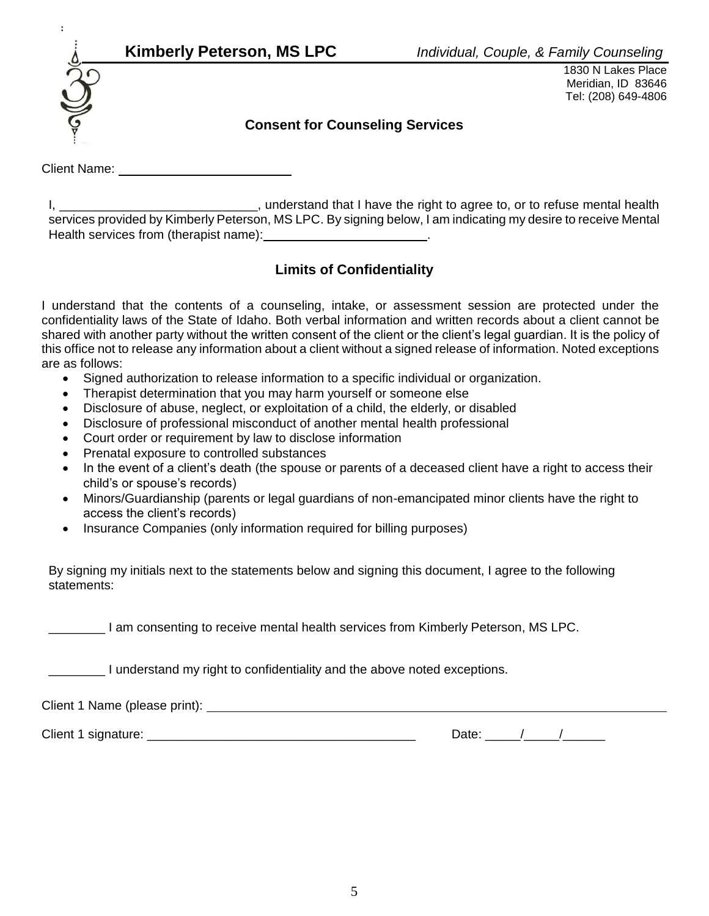

1830 N Lakes Place Meridian, ID 83646 Tel: (208) 649-4806

# **Consent for Counseling Services**

Client Name:

I, **I** and Extend that I have the right to agree to, or to refuse mental health services provided by Kimberly Peterson, MS LPC. By signing below, I am indicating my desire to receive Mental Health services from (therapist name): \_\_\_\_\_\_\_\_\_\_\_\_\_\_\_\_\_\_\_\_\_\_\_\_.

# **Limits of Confidentiality**

I understand that the contents of a counseling, intake, or assessment session are protected under the confidentiality laws of the State of Idaho. Both verbal information and written records about a client cannot be shared with another party without the written consent of the client or the client's legal guardian. It is the policy of this office not to release any information about a client without a signed release of information. Noted exceptions are as follows:

- Signed authorization to release information to a specific individual or organization.
- Therapist determination that you may harm yourself or someone else
- Disclosure of abuse, neglect, or exploitation of a child, the elderly, or disabled
- Disclosure of professional misconduct of another mental health professional
- Court order or requirement by law to disclose information
- Prenatal exposure to controlled substances
- In the event of a client's death (the spouse or parents of a deceased client have a right to access their child's or spouse's records)
- Minors/Guardianship (parents or legal guardians of non-emancipated minor clients have the right to access the client's records)
- Insurance Companies (only information required for billing purposes)

By signing my initials next to the statements below and signing this document, I agree to the following statements:

I am consenting to receive mental health services from Kimberly Peterson, MS LPC.

I understand my right to confidentiality and the above noted exceptions.

Client 1 Name (please print):

Client 1 signature: <br>
Client 1 signature: 
and the state of the state of the state of the Date:  $\frac{1}{2}$